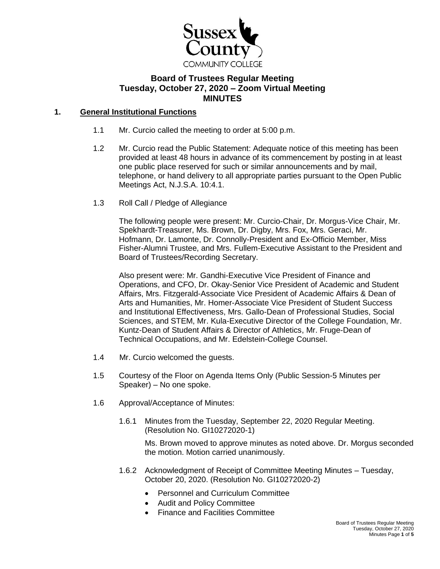

# **Board of Trustees Regular Meeting Tuesday, October 27, 2020 – Zoom Virtual Meeting MINUTES**

# **1. General Institutional Functions**

- 1.1 Mr. Curcio called the meeting to order at 5:00 p.m.
- 1.2 Mr. Curcio read the Public Statement: Adequate notice of this meeting has been provided at least 48 hours in advance of its commencement by posting in at least one public place reserved for such or similar announcements and by mail, telephone, or hand delivery to all appropriate parties pursuant to the Open Public Meetings Act, N.J.S.A. 10:4.1.
- 1.3 Roll Call / Pledge of Allegiance

The following people were present: Mr. Curcio-Chair, Dr. Morgus-Vice Chair, Mr. Spekhardt-Treasurer, Ms. Brown, Dr. Digby, Mrs. Fox, Mrs. Geraci, Mr. Hofmann, Dr. Lamonte, Dr. Connolly-President and Ex-Officio Member, Miss Fisher-Alumni Trustee, and Mrs. Fullem-Executive Assistant to the President and Board of Trustees/Recording Secretary.

Also present were: Mr. Gandhi-Executive Vice President of Finance and Operations, and CFO, Dr. Okay-Senior Vice President of Academic and Student Affairs, Mrs. Fitzgerald-Associate Vice President of Academic Affairs & Dean of Arts and Humanities, Mr. Homer-Associate Vice President of Student Success and Institutional Effectiveness, Mrs. Gallo-Dean of Professional Studies, Social Sciences, and STEM, Mr. Kula-Executive Director of the College Foundation, Mr. Kuntz-Dean of Student Affairs & Director of Athletics, Mr. Fruge-Dean of Technical Occupations, and Mr. Edelstein-College Counsel.

- 1.4 Mr. Curcio welcomed the guests.
- 1.5 Courtesy of the Floor on Agenda Items Only (Public Session-5 Minutes per Speaker) – No one spoke.
- 1.6 Approval/Acceptance of Minutes:
	- 1.6.1 Minutes from the Tuesday, September 22, 2020 Regular Meeting. (Resolution No. GI10272020-1)

Ms. Brown moved to approve minutes as noted above. Dr. Morgus seconded the motion. Motion carried unanimously.

- 1.6.2 Acknowledgment of Receipt of Committee Meeting Minutes Tuesday, October 20, 2020. (Resolution No. GI10272020-2)
	- Personnel and Curriculum Committee
	- Audit and Policy Committee
	- Finance and Facilities Committee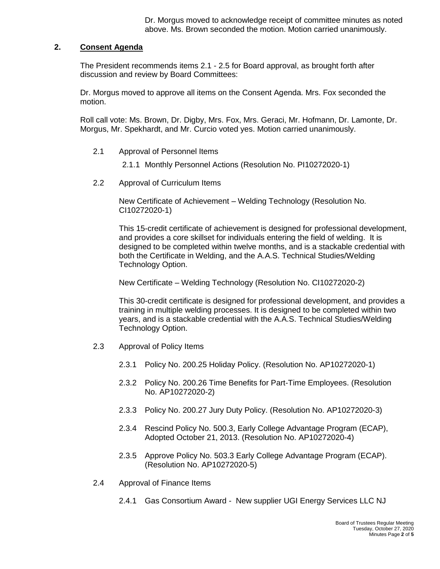Dr. Morgus moved to acknowledge receipt of committee minutes as noted above. Ms. Brown seconded the motion. Motion carried unanimously.

# **2. Consent Agenda**

The President recommends items 2.1 - 2.5 for Board approval, as brought forth after discussion and review by Board Committees:

Dr. Morgus moved to approve all items on the Consent Agenda. Mrs. Fox seconded the motion.

Roll call vote: Ms. Brown, Dr. Digby, Mrs. Fox, Mrs. Geraci, Mr. Hofmann, Dr. Lamonte, Dr. Morgus, Mr. Spekhardt, and Mr. Curcio voted yes. Motion carried unanimously.

- 2.1 Approval of Personnel Items
	- 2.1.1 Monthly Personnel Actions (Resolution No. PI10272020-1)
- 2.2 Approval of Curriculum Items

New Certificate of Achievement – Welding Technology (Resolution No. CI10272020-1)

This 15-credit certificate of achievement is designed for professional development, and provides a core skillset for individuals entering the field of welding. It is designed to be completed within twelve months, and is a stackable credential with both the Certificate in Welding, and the A.A.S. Technical Studies/Welding Technology Option.

New Certificate – Welding Technology (Resolution No. CI10272020-2)

This 30-credit certificate is designed for professional development, and provides a training in multiple welding processes. It is designed to be completed within two years, and is a stackable credential with the A.A.S. Technical Studies/Welding Technology Option.

- 2.3 Approval of Policy Items
	- 2.3.1 Policy No. 200.25 Holiday Policy. (Resolution No. AP10272020-1)
	- 2.3.2 Policy No. 200.26 Time Benefits for Part-Time Employees. (Resolution No. AP10272020-2)
	- 2.3.3 Policy No. 200.27 Jury Duty Policy. (Resolution No. AP10272020-3)
	- 2.3.4 Rescind Policy No. 500.3, Early College Advantage Program (ECAP), Adopted October 21, 2013. (Resolution No. AP10272020-4)
	- 2.3.5 Approve Policy No. 503.3 Early College Advantage Program (ECAP). (Resolution No. AP10272020-5)
- 2.4 Approval of Finance Items
	- 2.4.1 Gas Consortium Award New supplier UGI Energy Services LLC NJ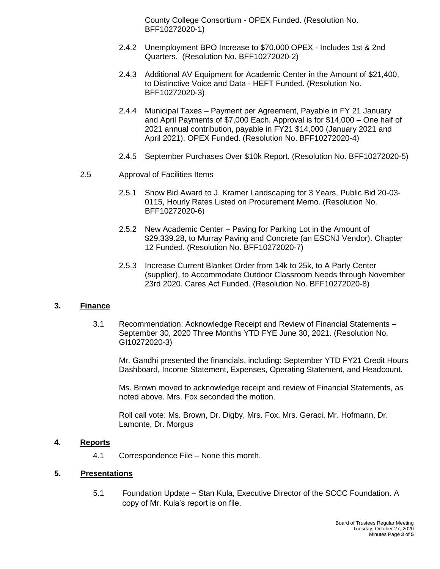County College Consortium - OPEX Funded. (Resolution No. BFF10272020-1)

- 2.4.2 Unemployment BPO Increase to \$70,000 OPEX Includes 1st & 2nd Quarters. (Resolution No. BFF10272020-2)
- 2.4.3 Additional AV Equipment for Academic Center in the Amount of \$21,400, to Distinctive Voice and Data - HEFT Funded. (Resolution No. BFF10272020-3)
- 2.4.4 Municipal Taxes Payment per Agreement, Payable in FY 21 January and April Payments of \$7,000 Each. Approval is for \$14,000 – One half of 2021 annual contribution, payable in FY21 \$14,000 (January 2021 and April 2021). OPEX Funded. (Resolution No. BFF10272020-4)
- 2.4.5 September Purchases Over \$10k Report. (Resolution No. BFF10272020-5)
- 2.5 Approval of Facilities Items
	- 2.5.1 Snow Bid Award to J. Kramer Landscaping for 3 Years, Public Bid 20-03- 0115, Hourly Rates Listed on Procurement Memo. (Resolution No. BFF10272020-6)
	- 2.5.2 New Academic Center Paving for Parking Lot in the Amount of \$29,339.28, to Murray Paving and Concrete (an ESCNJ Vendor). Chapter 12 Funded. (Resolution No. BFF10272020-7)
	- 2.5.3 Increase Current Blanket Order from 14k to 25k, to A Party Center (supplier), to Accommodate Outdoor Classroom Needs through November 23rd 2020. Cares Act Funded. (Resolution No. BFF10272020-8)

#### **3. Finance**

3.1 Recommendation: Acknowledge Receipt and Review of Financial Statements – September 30, 2020 Three Months YTD FYE June 30, 2021. (Resolution No. GI10272020-3)

Mr. Gandhi presented the financials, including: September YTD FY21 Credit Hours Dashboard, Income Statement, Expenses, Operating Statement, and Headcount.

Ms. Brown moved to acknowledge receipt and review of Financial Statements, as noted above. Mrs. Fox seconded the motion.

Roll call vote: Ms. Brown, Dr. Digby, Mrs. Fox, Mrs. Geraci, Mr. Hofmann, Dr. Lamonte, Dr. Morgus

## **4. Reports**

4.1 Correspondence File – None this month.

#### **5. Presentations**

5.1 Foundation Update – Stan Kula, Executive Director of the SCCC Foundation. A copy of Mr. Kula's report is on file.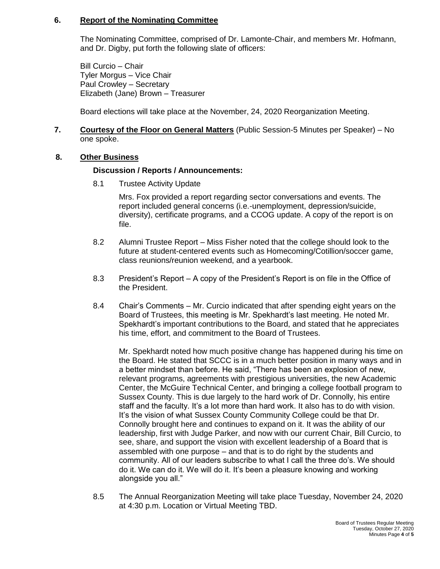### **6. Report of the Nominating Committee**

The Nominating Committee, comprised of Dr. Lamonte-Chair, and members Mr. Hofmann, and Dr. Digby, put forth the following slate of officers:

Bill Curcio – Chair Tyler Morgus – Vice Chair Paul Crowley – Secretary Elizabeth (Jane) Brown – Treasurer

Board elections will take place at the November, 24, 2020 Reorganization Meeting.

### **7. Courtesy of the Floor on General Matters** (Public Session-5 Minutes per Speaker) – No one spoke.

#### **8. Other Business**

#### **Discussion / Reports / Announcements:**

8.1 Trustee Activity Update

Mrs. Fox provided a report regarding sector conversations and events. The report included general concerns (i.e.-unemployment, depression/suicide, diversity), certificate programs, and a CCOG update. A copy of the report is on file.

- 8.2 Alumni Trustee Report Miss Fisher noted that the college should look to the future at student-centered events such as Homecoming/Cotillion/soccer game, class reunions/reunion weekend, and a yearbook.
- 8.3 President's Report A copy of the President's Report is on file in the Office of the President.
- 8.4 Chair's Comments Mr. Curcio indicated that after spending eight years on the Board of Trustees, this meeting is Mr. Spekhardt's last meeting. He noted Mr. Spekhardt's important contributions to the Board, and stated that he appreciates his time, effort, and commitment to the Board of Trustees.

Mr. Spekhardt noted how much positive change has happened during his time on the Board. He stated that SCCC is in a much better position in many ways and in a better mindset than before. He said, "There has been an explosion of new, relevant programs, agreements with prestigious universities, the new Academic Center, the McGuire Technical Center, and bringing a college football program to Sussex County. This is due largely to the hard work of Dr. Connolly, his entire staff and the faculty. It's a lot more than hard work. It also has to do with vision. It's the vision of what Sussex County Community College could be that Dr. Connolly brought here and continues to expand on it. It was the ability of our leadership, first with Judge Parker, and now with our current Chair, Bill Curcio, to see, share, and support the vision with excellent leadership of a Board that is assembled with one purpose – and that is to do right by the students and community. All of our leaders subscribe to what I call the three do's. We should do it. We can do it. We will do it. It's been a pleasure knowing and working alongside you all."

8.5 The Annual Reorganization Meeting will take place Tuesday, November 24, 2020 at 4:30 p.m. Location or Virtual Meeting TBD.